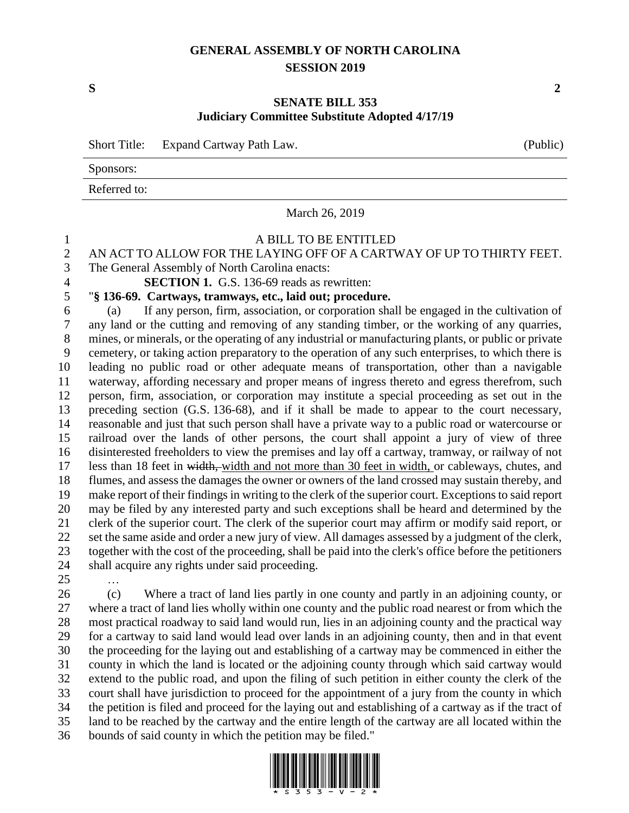## **GENERAL ASSEMBLY OF NORTH CAROLINA SESSION 2019**

## **SENATE BILL 353 Judiciary Committee Substitute Adopted 4/17/19**

Short Title: Expand Cartway Path Law.

Sponsors:

Referred to:

March 26, 2019

## A BILL TO BE ENTITLED

## 2 AN ACT TO ALLOW FOR THE LAYING OFF OF A CARTWAY OF UP TO THIRTY FEET.<br>3 The General Assembly of North Carolina enacts:

The General Assembly of North Carolina enacts:

**SECTION 1.** G.S. 136-69 reads as rewritten:

"**§ 136-69. Cartways, tramways, etc., laid out; procedure.**

 (a) If any person, firm, association, or corporation shall be engaged in the cultivation of any land or the cutting and removing of any standing timber, or the working of any quarries, mines, or minerals, or the operating of any industrial or manufacturing plants, or public or private cemetery, or taking action preparatory to the operation of any such enterprises, to which there is leading no public road or other adequate means of transportation, other than a navigable waterway, affording necessary and proper means of ingress thereto and egress therefrom, such person, firm, association, or corporation may institute a special proceeding as set out in the preceding section (G.S. 136-68), and if it shall be made to appear to the court necessary, reasonable and just that such person shall have a private way to a public road or watercourse or railroad over the lands of other persons, the court shall appoint a jury of view of three disinterested freeholders to view the premises and lay off a cartway, tramway, or railway of not less than 18 feet in width, width and not more than 30 feet in width, or cableways, chutes, and flumes, and assess the damages the owner or owners of the land crossed may sustain thereby, and make report of their findings in writing to the clerk of the superior court. Exceptions to said report may be filed by any interested party and such exceptions shall be heard and determined by the clerk of the superior court. The clerk of the superior court may affirm or modify said report, or set the same aside and order a new jury of view. All damages assessed by a judgment of the clerk, together with the cost of the proceeding, shall be paid into the clerk's office before the petitioners shall acquire any rights under said proceeding.

…

 (c) Where a tract of land lies partly in one county and partly in an adjoining county, or where a tract of land lies wholly within one county and the public road nearest or from which the most practical roadway to said land would run, lies in an adjoining county and the practical way for a cartway to said land would lead over lands in an adjoining county, then and in that event the proceeding for the laying out and establishing of a cartway may be commenced in either the county in which the land is located or the adjoining county through which said cartway would extend to the public road, and upon the filing of such petition in either county the clerk of the court shall have jurisdiction to proceed for the appointment of a jury from the county in which the petition is filed and proceed for the laying out and establishing of a cartway as if the tract of land to be reached by the cartway and the entire length of the cartway are all located within the bounds of said county in which the petition may be filed."



**S 2**

| (Public) |  |
|----------|--|
|          |  |
|          |  |